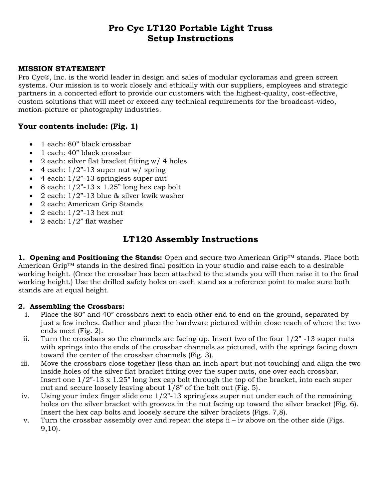# **Pro Cyc LT120 Portable Light Truss Setup Instructions**

### **MISSION STATEMENT**

Pro Cyc®, Inc. is the world leader in design and sales of modular cycloramas and green screen systems. Our mission is to work closely and ethically with our suppliers, employees and strategic partners in a concerted effort to provide our customers with the highest-quality, cost-effective, custom solutions that will meet or exceed any technical requirements for the broadcast-video, motion-picture or photography industries.

## **Your contents include: (Fig. 1)**

- 1 each: 80" black crossbar
- 1 each: 40" black crossbar
- 2 each: silver flat bracket fitting  $w/4$  holes
- $\bullet$  4 each: 1/2"-13 super nut w/ spring
- $\bullet$  4 each:  $1/2$ "-13 springless super nut
- $\bullet$  8 each:  $1/2$ "-13 x 1.25" long hex cap bolt
- 2 each:  $1/2$ "-13 blue & silver kwik washer
- 2 each: American Grip Stands
- $\bullet$  2 each:  $1/2$ <sup>2</sup>-13 hex nut
- $\bullet$  2 each:  $1/2$ " flat washer

## **LT120 Assembly Instructions**

**1. Opening and Positioning the Stands:** Open and secure two American Grip™ stands. Place both American Grip™ stands in the desired final position in your studio and raise each to a desirable working height. (Once the crossbar has been attached to the stands you will then raise it to the final working height.) Use the drilled safety holes on each stand as a reference point to make sure both stands are at equal height.

### **2. Assembling the Crossbars:**

- i. Place the 80" and 40" crossbars next to each other end to end on the ground, separated by just a few inches. Gather and place the hardware pictured within close reach of where the two ends meet (Fig. 2).
- ii. Turn the crossbars so the channels are facing up. Insert two of the four  $1/2$ " -13 super nuts with springs into the ends of the crossbar channels as pictured, with the springs facing down toward the center of the crossbar channels (Fig. 3).
- iii. Move the crossbars close together (less than an inch apart but not touching) and align the two inside holes of the silver flat bracket fitting over the super nuts, one over each crossbar. Insert one 1/2"-13 x 1.25" long hex cap bolt through the top of the bracket, into each super nut and secure loosely leaving about 1/8" of the bolt out (Fig. 5).
- iv. Using your index finger slide one 1/2"-13 springless super nut under each of the remaining holes on the silver bracket with grooves in the nut facing up toward the silver bracket (Fig. 6). Insert the hex cap bolts and loosely secure the silver brackets (Figs. 7,8).
- v. Turn the crossbar assembly over and repeat the steps  $i iv$  above on the other side (Figs. 9,10).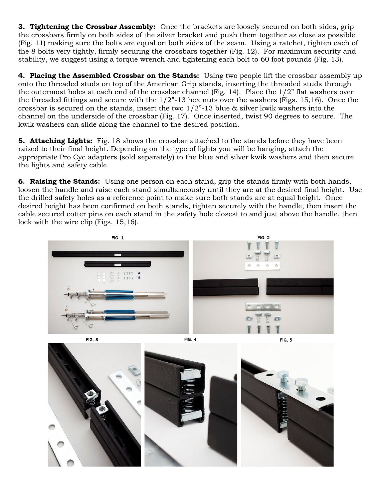**3. Tightening the Crossbar Assembly:** Once the brackets are loosely secured on both sides, grip the crossbars firmly on both sides of the silver bracket and push them together as close as possible (Fig. 11) making sure the bolts are equal on both sides of the seam. Using a ratchet, tighten each of the 8 bolts very tightly, firmly securing the crossbars together (Fig. 12). For maximum security and stability, we suggest using a torque wrench and tightening each bolt to 60 foot pounds (Fig. 13).

**4. Placing the Assembled Crossbar on the Stands:** Using two people lift the crossbar assembly up onto the threaded studs on top of the American Grip stands, inserting the threaded studs through the outermost holes at each end of the crossbar channel (Fig. 14). Place the  $1/2$ " flat washers over the threaded fittings and secure with the  $1/2$ "-13 hex nuts over the washers (Figs. 15,16). Once the crossbar is secured on the stands, insert the two  $1/2$ "-13 blue & silver kwik washers into the channel on the underside of the crossbar (Fig. 17). Once inserted, twist 90 degrees to secure. The kwik washers can slide along the channel to the desired position.

**5. Attaching Lights:** Fig. 18 shows the crossbar attached to the stands before they have been raised to their final height. Depending on the type of lights you will be hanging, attach the appropriate Pro Cyc adapters (sold separately) to the blue and silver kwik washers and then secure the lights and safety cable.

**6. Raising the Stands:** Using one person on each stand, grip the stands firmly with both hands, loosen the handle and raise each stand simultaneously until they are at the desired final height. Use the drilled safety holes as a reference point to make sure both stands are at equal height. Once desired height has been confirmed on both stands, tighten securely with the handle, then insert the cable secured cotter pins on each stand in the safety hole closest to and just above the handle, then lock with the wire clip (Figs. 15,16).



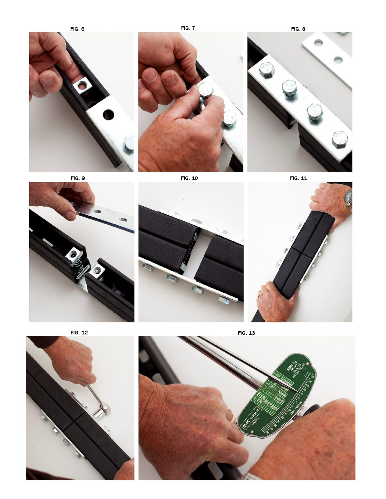**FIG. 6** 

**FIG. 7** 







FIG. 11







FIG. 12